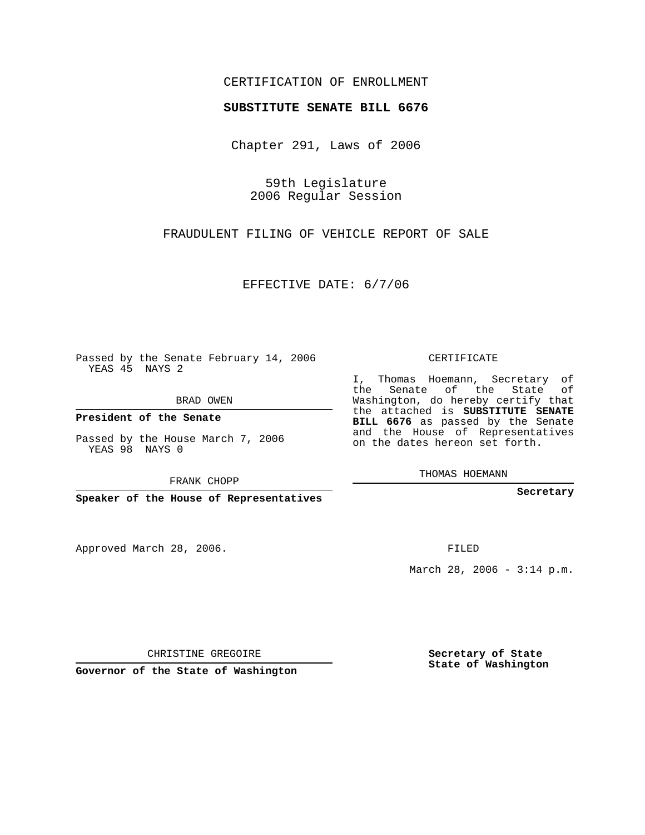## CERTIFICATION OF ENROLLMENT

#### **SUBSTITUTE SENATE BILL 6676**

Chapter 291, Laws of 2006

59th Legislature 2006 Regular Session

FRAUDULENT FILING OF VEHICLE REPORT OF SALE

EFFECTIVE DATE: 6/7/06

Passed by the Senate February 14, 2006 YEAS 45 NAYS 2

BRAD OWEN

**President of the Senate**

Passed by the House March 7, 2006 YEAS 98 NAYS 0

FRANK CHOPP

**Speaker of the House of Representatives**

Approved March 28, 2006.

CERTIFICATE

I, Thomas Hoemann, Secretary of the Senate of the State of Washington, do hereby certify that the attached is **SUBSTITUTE SENATE BILL 6676** as passed by the Senate and the House of Representatives on the dates hereon set forth.

THOMAS HOEMANN

**Secretary**

FILED

March 28, 2006 -  $3:14$  p.m.

CHRISTINE GREGOIRE

**Governor of the State of Washington**

**Secretary of State State of Washington**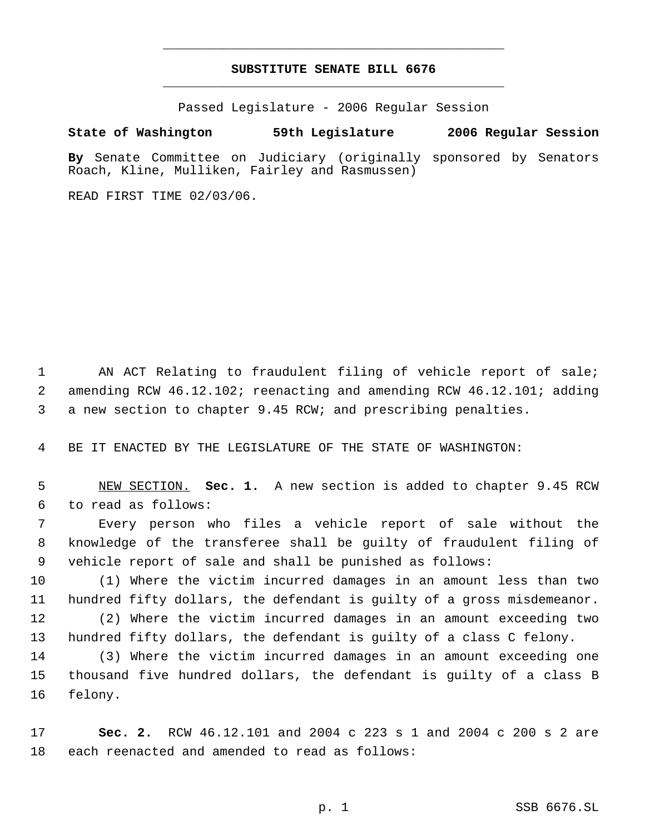## **SUBSTITUTE SENATE BILL 6676** \_\_\_\_\_\_\_\_\_\_\_\_\_\_\_\_\_\_\_\_\_\_\_\_\_\_\_\_\_\_\_\_\_\_\_\_\_\_\_\_\_\_\_\_\_

\_\_\_\_\_\_\_\_\_\_\_\_\_\_\_\_\_\_\_\_\_\_\_\_\_\_\_\_\_\_\_\_\_\_\_\_\_\_\_\_\_\_\_\_\_

Passed Legislature - 2006 Regular Session

### **State of Washington 59th Legislature 2006 Regular Session**

**By** Senate Committee on Judiciary (originally sponsored by Senators Roach, Kline, Mulliken, Fairley and Rasmussen)

READ FIRST TIME 02/03/06.

 AN ACT Relating to fraudulent filing of vehicle report of sale; amending RCW 46.12.102; reenacting and amending RCW 46.12.101; adding a new section to chapter 9.45 RCW; and prescribing penalties.

BE IT ENACTED BY THE LEGISLATURE OF THE STATE OF WASHINGTON:

 NEW SECTION. **Sec. 1.** A new section is added to chapter 9.45 RCW to read as follows:

 Every person who files a vehicle report of sale without the knowledge of the transferee shall be guilty of fraudulent filing of vehicle report of sale and shall be punished as follows:

 (1) Where the victim incurred damages in an amount less than two hundred fifty dollars, the defendant is guilty of a gross misdemeanor. (2) Where the victim incurred damages in an amount exceeding two hundred fifty dollars, the defendant is guilty of a class C felony.

 (3) Where the victim incurred damages in an amount exceeding one thousand five hundred dollars, the defendant is guilty of a class B felony.

 **Sec. 2.** RCW 46.12.101 and 2004 c 223 s 1 and 2004 c 200 s 2 are each reenacted and amended to read as follows: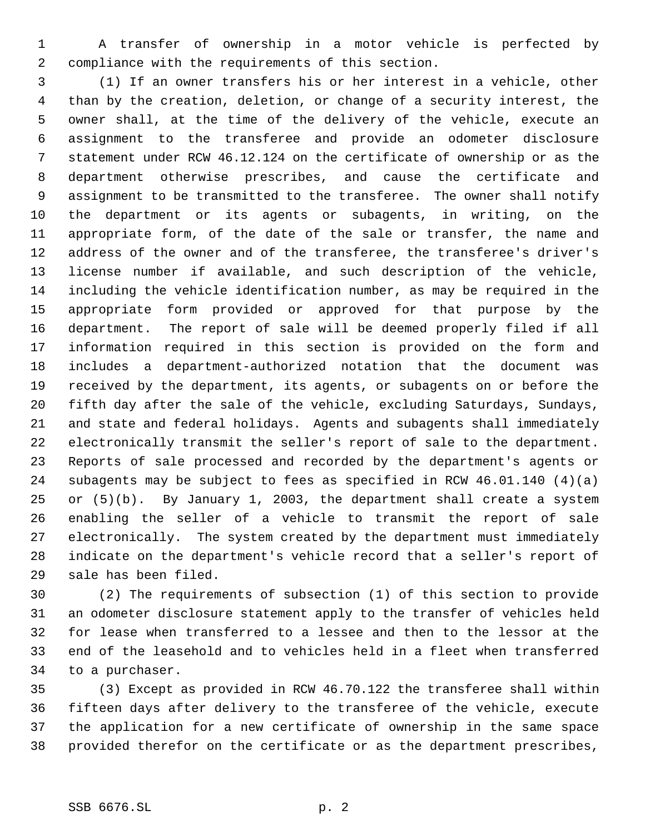A transfer of ownership in a motor vehicle is perfected by compliance with the requirements of this section.

 (1) If an owner transfers his or her interest in a vehicle, other than by the creation, deletion, or change of a security interest, the owner shall, at the time of the delivery of the vehicle, execute an assignment to the transferee and provide an odometer disclosure statement under RCW 46.12.124 on the certificate of ownership or as the department otherwise prescribes, and cause the certificate and assignment to be transmitted to the transferee. The owner shall notify the department or its agents or subagents, in writing, on the appropriate form, of the date of the sale or transfer, the name and address of the owner and of the transferee, the transferee's driver's license number if available, and such description of the vehicle, including the vehicle identification number, as may be required in the appropriate form provided or approved for that purpose by the department. The report of sale will be deemed properly filed if all information required in this section is provided on the form and includes a department-authorized notation that the document was received by the department, its agents, or subagents on or before the fifth day after the sale of the vehicle, excluding Saturdays, Sundays, and state and federal holidays. Agents and subagents shall immediately electronically transmit the seller's report of sale to the department. Reports of sale processed and recorded by the department's agents or subagents may be subject to fees as specified in RCW 46.01.140 (4)(a) or (5)(b). By January 1, 2003, the department shall create a system enabling the seller of a vehicle to transmit the report of sale electronically. The system created by the department must immediately indicate on the department's vehicle record that a seller's report of sale has been filed.

 (2) The requirements of subsection (1) of this section to provide an odometer disclosure statement apply to the transfer of vehicles held for lease when transferred to a lessee and then to the lessor at the end of the leasehold and to vehicles held in a fleet when transferred to a purchaser.

 (3) Except as provided in RCW 46.70.122 the transferee shall within fifteen days after delivery to the transferee of the vehicle, execute the application for a new certificate of ownership in the same space provided therefor on the certificate or as the department prescribes,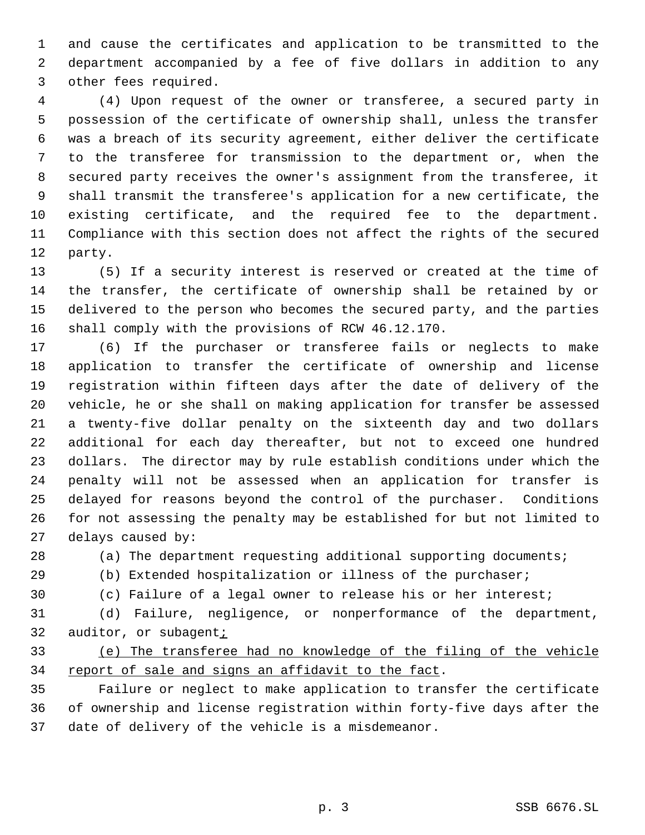and cause the certificates and application to be transmitted to the department accompanied by a fee of five dollars in addition to any other fees required.

 (4) Upon request of the owner or transferee, a secured party in possession of the certificate of ownership shall, unless the transfer was a breach of its security agreement, either deliver the certificate to the transferee for transmission to the department or, when the secured party receives the owner's assignment from the transferee, it shall transmit the transferee's application for a new certificate, the existing certificate, and the required fee to the department. Compliance with this section does not affect the rights of the secured party.

 (5) If a security interest is reserved or created at the time of the transfer, the certificate of ownership shall be retained by or delivered to the person who becomes the secured party, and the parties shall comply with the provisions of RCW 46.12.170.

 (6) If the purchaser or transferee fails or neglects to make application to transfer the certificate of ownership and license registration within fifteen days after the date of delivery of the vehicle, he or she shall on making application for transfer be assessed a twenty-five dollar penalty on the sixteenth day and two dollars additional for each day thereafter, but not to exceed one hundred dollars. The director may by rule establish conditions under which the penalty will not be assessed when an application for transfer is delayed for reasons beyond the control of the purchaser. Conditions for not assessing the penalty may be established for but not limited to delays caused by:

(a) The department requesting additional supporting documents;

- (b) Extended hospitalization or illness of the purchaser;
- 

(c) Failure of a legal owner to release his or her interest;

 (d) Failure, negligence, or nonperformance of the department, auditor, or subagent;

# (e) The transferee had no knowledge of the filing of the vehicle 34 report of sale and signs an affidavit to the fact.

 Failure or neglect to make application to transfer the certificate of ownership and license registration within forty-five days after the date of delivery of the vehicle is a misdemeanor.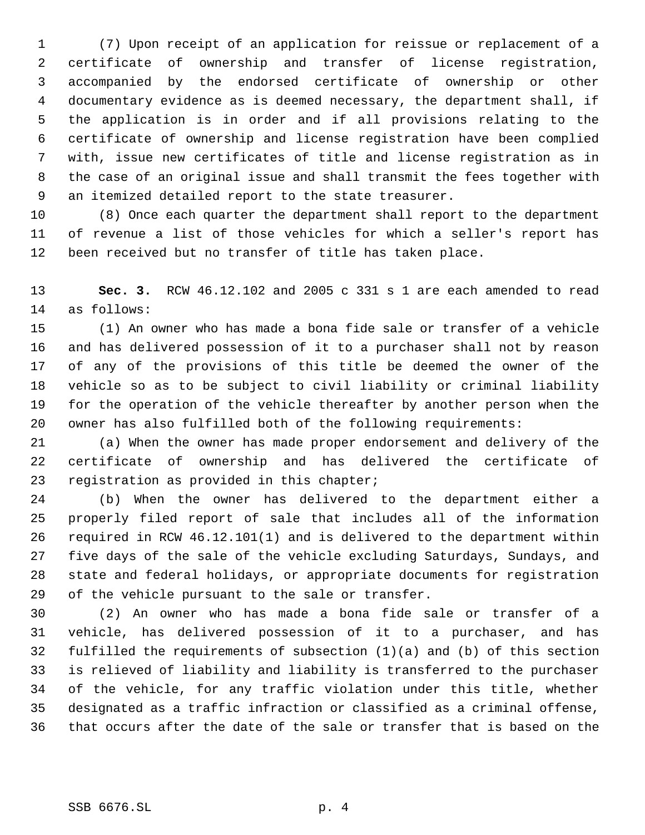(7) Upon receipt of an application for reissue or replacement of a certificate of ownership and transfer of license registration, accompanied by the endorsed certificate of ownership or other documentary evidence as is deemed necessary, the department shall, if the application is in order and if all provisions relating to the certificate of ownership and license registration have been complied with, issue new certificates of title and license registration as in the case of an original issue and shall transmit the fees together with an itemized detailed report to the state treasurer.

 (8) Once each quarter the department shall report to the department of revenue a list of those vehicles for which a seller's report has been received but no transfer of title has taken place.

 **Sec. 3.** RCW 46.12.102 and 2005 c 331 s 1 are each amended to read as follows:

 (1) An owner who has made a bona fide sale or transfer of a vehicle and has delivered possession of it to a purchaser shall not by reason of any of the provisions of this title be deemed the owner of the vehicle so as to be subject to civil liability or criminal liability for the operation of the vehicle thereafter by another person when the owner has also fulfilled both of the following requirements:

 (a) When the owner has made proper endorsement and delivery of the certificate of ownership and has delivered the certificate of registration as provided in this chapter;

 (b) When the owner has delivered to the department either a properly filed report of sale that includes all of the information required in RCW 46.12.101(1) and is delivered to the department within five days of the sale of the vehicle excluding Saturdays, Sundays, and state and federal holidays, or appropriate documents for registration of the vehicle pursuant to the sale or transfer.

 (2) An owner who has made a bona fide sale or transfer of a vehicle, has delivered possession of it to a purchaser, and has fulfilled the requirements of subsection (1)(a) and (b) of this section is relieved of liability and liability is transferred to the purchaser of the vehicle, for any traffic violation under this title, whether designated as a traffic infraction or classified as a criminal offense, that occurs after the date of the sale or transfer that is based on the